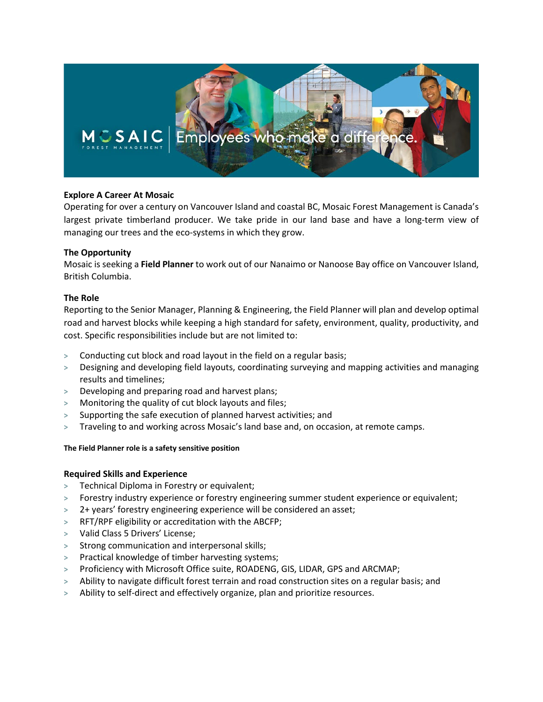

## **Explore A Career At Mosaic**

Operating for over a century on Vancouver Island and coastal BC, Mosaic Forest Management is Canada's largest private timberland producer. We take pride in our land base and have a long-term view of managing our trees and the eco-systems in which they grow.

## **The Opportunity**

Mosaic is seeking a **Field Planner** to work out of our Nanaimo or Nanoose Bay office on Vancouver Island, British Columbia.

# **The Role**

Reporting to the Senior Manager, Planning & Engineering, the Field Planner will plan and develop optimal road and harvest blocks while keeping a high standard for safety, environment, quality, productivity, and cost. Specific responsibilities include but are not limited to:

- **>** Conducting cut block and road layout in the field on a regular basis;
- **>** Designing and developing field layouts, coordinating surveying and mapping activities and managing results and timelines;
- **>** Developing and preparing road and harvest plans;
- **>** Monitoring the quality of cut block layouts and files;
- **>** Supporting the safe execution of planned harvest activities; and
- **>** Traveling to and working across Mosaic's land base and, on occasion, at remote camps.

## **The Field Planner role is a safety sensitive position**

## **Required Skills and Experience**

- **>** Technical Diploma in Forestry or equivalent;
- **>** Forestry industry experience or forestry engineering summer student experience or equivalent;
- **>** 2+ years' forestry engineering experience will be considered an asset;
- **>** RFT/RPF eligibility or accreditation with the ABCFP;
- **>** Valid Class 5 Drivers' License;
- **>** Strong communication and interpersonal skills;
- **>** Practical knowledge of timber harvesting systems;
- **>** Proficiency with Microsoft Office suite, ROADENG, GIS, LIDAR, GPS and ARCMAP;
- **>** Ability to navigate difficult forest terrain and road construction sites on a regular basis; and
- **>** Ability to self-direct and effectively organize, plan and prioritize resources.